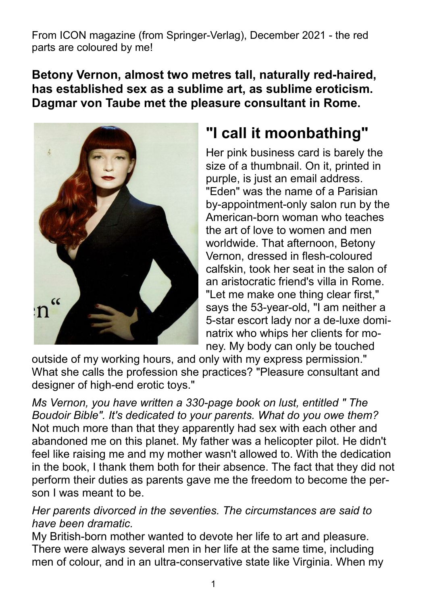From ICON magazine (from Springer-Verlag), December 2021 - the red parts are coloured by me!

**Betony Vernon, almost two metres tall, naturally red-haired, has established sex as a sublime art, as sublime eroticism. Dagmar von Taube met the pleasure consultant in Rome.**



# **"I call it moonbathing"**

Her pink business card is barely the size of a thumbnail. On it, printed in purple, is just an email address. "Eden" was the name of a Parisian by-appointment-only salon run by the American-born woman who teaches the art of love to women and men worldwide. That afternoon, Betony Vernon, dressed in flesh-coloured calfskin, took her seat in the salon of an aristocratic friend's villa in Rome. "Let me make one thing clear first," says the 53-year-old, "I am neither a 5-star escort lady nor a de-luxe dominatrix who whips her clients for money. My body can only be touched

outside of my working hours, and only with my express permission." What she calls the profession she practices? "Pleasure consultant and designer of high-end erotic toys."

*Ms Vernon, you have written a 330-page book on lust, entitled " The Boudoir Bible". It's dedicated to your parents. What do you owe them?* Not much more than that they apparently had sex with each other and abandoned me on this planet. My father was a helicopter pilot. He didn't feel like raising me and my mother wasn't allowed to. With the dedication in the book, I thank them both for their absence. The fact that they did not perform their duties as parents gave me the freedom to become the person I was meant to be.

*Her parents divorced in the seventies. The circumstances are said to have been dramatic.*

My British-born mother wanted to devote her life to art and pleasure. There were always several men in her life at the same time, including men of colour, and in an ultra-conservative state like Virginia. When my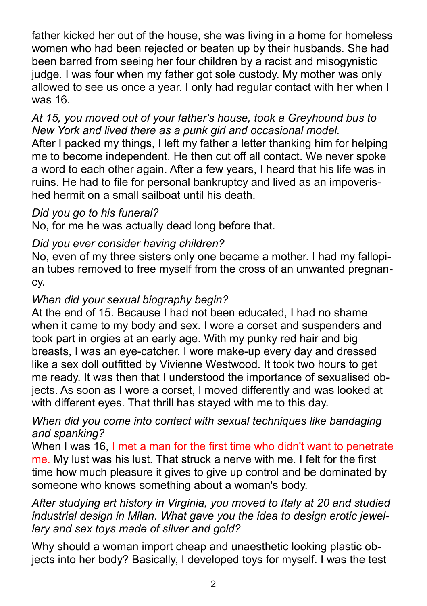father kicked her out of the house, she was living in a home for homeless women who had been rejected or beaten up by their husbands. She had been barred from seeing her four children by a racist and misogynistic judge. I was four when my father got sole custody. My mother was only allowed to see us once a year. I only had regular contact with her when I was 16.

## *At 15, you moved out of your father's house, took a Greyhound bus to New York and lived there as a punk girl and occasional model.*

After I packed my things, I left my father a letter thanking him for helping me to become independent. He then cut off all contact. We never spoke a word to each other again. After a few years, I heard that his life was in ruins. He had to file for personal bankruptcy and lived as an impoverished hermit on a small sailboat until his death.

# *Did you go to his funeral?*

No, for me he was actually dead long before that.

## *Did you ever consider having children?*

No, even of my three sisters only one became a mother. I had my fallopian tubes removed to free myself from the cross of an unwanted pregnancy.

# *When did your sexual biography begin?*

At the end of 15. Because I had not been educated, I had no shame when it came to my body and sex. I wore a corset and suspenders and took part in orgies at an early age. With my punky red hair and big breasts, I was an eye-catcher. I wore make-up every day and dressed like a sex doll outfitted by Vivienne Westwood. It took two hours to get me ready. It was then that I understood the importance of sexualised objects. As soon as I wore a corset, I moved differently and was looked at with different eyes. That thrill has stayed with me to this day.

## *When did you come into contact with sexual techniques like bandaging and spanking?*

When I was 16, I met a man for the first time who didn't want to penetrate me. My lust was his lust. That struck a nerve with me. I felt for the first time how much pleasure it gives to give up control and be dominated by someone who knows something about a woman's body.

## *After studying art history in Virginia, you moved to Italy at 20 and studied industrial design in Milan. What gave you the idea to design erotic jewellery and sex toys made of silver and gold?*

Why should a woman import cheap and unaesthetic looking plastic objects into her body? Basically, I developed toys for myself. I was the test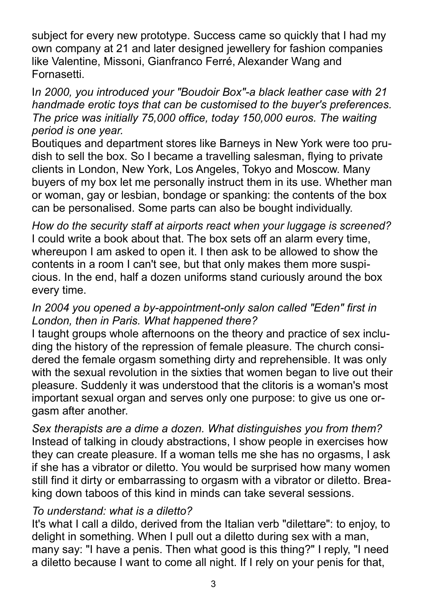subject for every new prototype. Success came so quickly that I had my own company at 21 and later designed jewellery for fashion companies like Valentine, Missoni, Gianfranco Ferré, Alexander Wang and Fornasetti.

### I*n 2000, you introduced your "Boudoir Box"-a black leather case with 21 handmade erotic toys that can be customised to the buyer's preferences. The price was initially 75,000 office, today 150,000 euros. The waiting period is one year.*

Boutiques and department stores like Barneys in New York were too prudish to sell the box. So I became a travelling salesman, flying to private clients in London, New York, Los Angeles, Tokyo and Moscow. Many buyers of my box let me personally instruct them in its use. Whether man or woman, gay or lesbian, bondage or spanking: the contents of the box can be personalised. Some parts can also be bought individually.

*How do the security staff at airports react when your luggage is screened?* I could write a book about that. The box sets off an alarm every time, whereupon I am asked to open it. I then ask to be allowed to show the contents in a room I can't see, but that only makes them more suspicious. In the end, half a dozen uniforms stand curiously around the box every time.

## *In 2004 you opened a by-appointment-only salon called "Eden" first in London, then in Paris. What happened there?*

I taught groups whole afternoons on the theory and practice of sex including the history of the repression of female pleasure. The church considered the female orgasm something dirty and reprehensible. It was only with the sexual revolution in the sixties that women began to live out their pleasure. Suddenly it was understood that the clitoris is a woman's most important sexual organ and serves only one purpose: to give us one orgasm after another.

*Sex therapists are a dime a dozen. What distinguishes you from them?*  Instead of talking in cloudy abstractions, I show people in exercises how they can create pleasure. If a woman tells me she has no orgasms, I ask if she has a vibrator or diletto. You would be surprised how many women still find it dirty or embarrassing to orgasm with a vibrator or diletto. Breaking down taboos of this kind in minds can take several sessions.

# *To understand: what is a diletto?*

It's what I call a dildo, derived from the Italian verb "dilettare": to enjoy, to delight in something. When I pull out a diletto during sex with a man, many say: "I have a penis. Then what good is this thing?" I reply, "I need a diletto because I want to come all night. If I rely on your penis for that,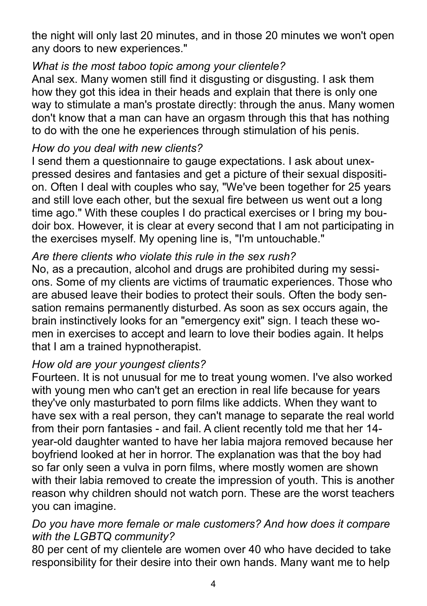the night will only last 20 minutes, and in those 20 minutes we won't open any doors to new experiences."

## *What is the most taboo topic among your clientele?*

Anal sex. Many women still find it disgusting or disgusting. I ask them how they got this idea in their heads and explain that there is only one way to stimulate a man's prostate directly: through the anus. Many women don't know that a man can have an orgasm through this that has nothing to do with the one he experiences through stimulation of his penis.

## *How do you deal with new clients?*

I send them a questionnaire to gauge expectations. I ask about unexpressed desires and fantasies and get a picture of their sexual disposition. Often I deal with couples who say, "We've been together for 25 years and still love each other, but the sexual fire between us went out a long time ago." With these couples I do practical exercises or I bring my boudoir box. However, it is clear at every second that I am not participating in the exercises myself. My opening line is, "I'm untouchable."

# *Are there clients who violate this rule in the sex rush?*

No, as a precaution, alcohol and drugs are prohibited during my sessions. Some of my clients are victims of traumatic experiences. Those who are abused leave their bodies to protect their souls. Often the body sensation remains permanently disturbed. As soon as sex occurs again, the brain instinctively looks for an "emergency exit" sign. I teach these women in exercises to accept and learn to love their bodies again. It helps that I am a trained hypnotherapist.

## *How old are your youngest clients?*

Fourteen. It is not unusual for me to treat young women. I've also worked with young men who can't get an erection in real life because for years they've only masturbated to porn films like addicts. When they want to have sex with a real person, they can't manage to separate the real world from their porn fantasies - and fail. A client recently told me that her 14 year-old daughter wanted to have her labia majora removed because her boyfriend looked at her in horror. The explanation was that the boy had so far only seen a vulva in porn films, where mostly women are shown with their labia removed to create the impression of youth. This is another reason why children should not watch porn. These are the worst teachers you can imagine.

## *Do you have more female or male customers? And how does it compare with the LGBTQ community?*

80 per cent of my clientele are women over 40 who have decided to take responsibility for their desire into their own hands. Many want me to help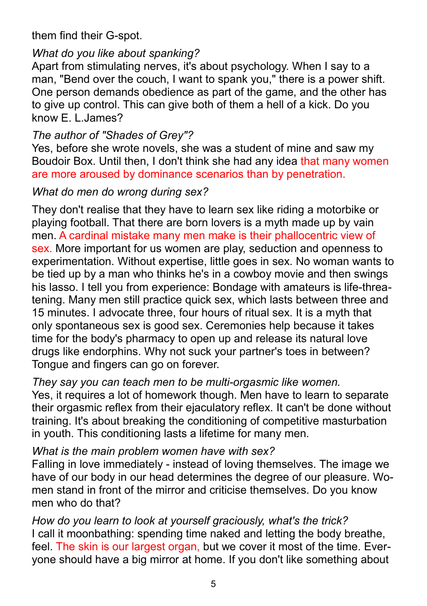them find their G-spot.

# *What do you like about spanking?*

Apart from stimulating nerves, it's about psychology. When I say to a man, "Bend over the couch, I want to spank you," there is a power shift. One person demands obedience as part of the game, and the other has to give up control. This can give both of them a hell of a kick. Do you know E. L.James?

# *The author of "Shades of Grey"?*

Yes, before she wrote novels, she was a student of mine and saw my Boudoir Box. Until then, I don't think she had any idea that many women are more aroused by dominance scenarios than by penetration.

# *What do men do wrong during sex?*

They don't realise that they have to learn sex like riding a motorbike or playing football. That there are born lovers is a myth made up by vain men. A cardinal mistake many men make is their phallocentric view of sex. More important for us women are play, seduction and openness to experimentation. Without expertise, little goes in sex. No woman wants to be tied up by a man who thinks he's in a cowboy movie and then swings his lasso. I tell you from experience: Bondage with amateurs is life-threatening. Many men still practice quick sex, which lasts between three and 15 minutes. I advocate three, four hours of ritual sex. It is a myth that only spontaneous sex is good sex. Ceremonies help because it takes time for the body's pharmacy to open up and release its natural love drugs like endorphins. Why not suck your partner's toes in between? Tongue and fingers can go on forever.

## *They say you can teach men to be multi-orgasmic like women.*

Yes, it requires a lot of homework though. Men have to learn to separate their orgasmic reflex from their ejaculatory reflex. It can't be done without training. It's about breaking the conditioning of competitive masturbation in youth. This conditioning lasts a lifetime for many men.

## *What is the main problem women have with sex?*

Falling in love immediately - instead of loving themselves. The image we have of our body in our head determines the degree of our pleasure. Women stand in front of the mirror and criticise themselves. Do you know men who do that?

*How do you learn to look at yourself graciously, what's the trick?*  I call it moonbathing: spending time naked and letting the body breathe, feel. The skin is our largest organ, but we cover it most of the time. Everyone should have a big mirror at home. If you don't like something about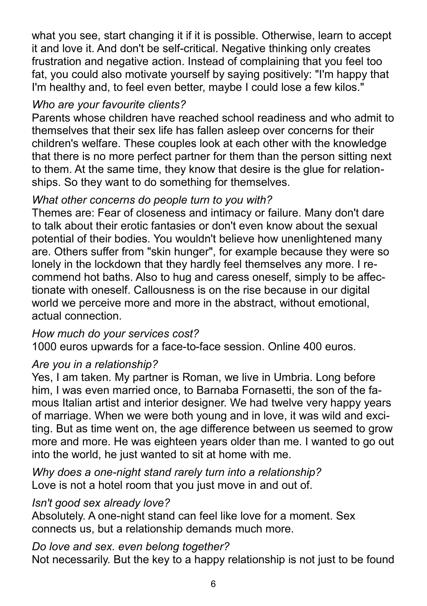what you see, start changing it if it is possible. Otherwise, learn to accept it and love it. And don't be self-critical. Negative thinking only creates frustration and negative action. Instead of complaining that you feel too fat, you could also motivate yourself by saying positively: "I'm happy that I'm healthy and, to feel even better, maybe I could lose a few kilos."

# *Who are your favourite clients?*

Parents whose children have reached school readiness and who admit to themselves that their sex life has fallen asleep over concerns for their children's welfare. These couples look at each other with the knowledge that there is no more perfect partner for them than the person sitting next to them. At the same time, they know that desire is the glue for relationships. So they want to do something for themselves.

# *What other concerns do people turn to you with?*

Themes are: Fear of closeness and intimacy or failure. Many don't dare to talk about their erotic fantasies or don't even know about the sexual potential of their bodies. You wouldn't believe how unenlightened many are. Others suffer from "skin hunger", for example because they were so lonely in the lockdown that they hardly feel themselves any more. I recommend hot baths. Also to hug and caress oneself, simply to be affectionate with oneself. Callousness is on the rise because in our digital world we perceive more and more in the abstract, without emotional, actual connection.

## *How much do your services cost?*

1000 euros upwards for a face-to-face session. Online 400 euros.

## *Are you in a relationship?*

Yes, I am taken. My partner is Roman, we live in Umbria. Long before him, I was even married once, to Barnaba Fornasetti, the son of the famous Italian artist and interior designer. We had twelve very happy years of marriage. When we were both young and in love, it was wild and exciting. But as time went on, the age difference between us seemed to grow more and more. He was eighteen years older than me. I wanted to go out into the world, he just wanted to sit at home with me.

*Why does a one-night stand rarely turn into a relationship?* Love is not a hotel room that you just move in and out of.

## *Isn't good sex already love?*

Absolutely. A one-night stand can feel like love for a moment. Sex connects us, but a relationship demands much more.

## *Do love and sex. even belong together?*

Not necessarily. But the key to a happy relationship is not just to be found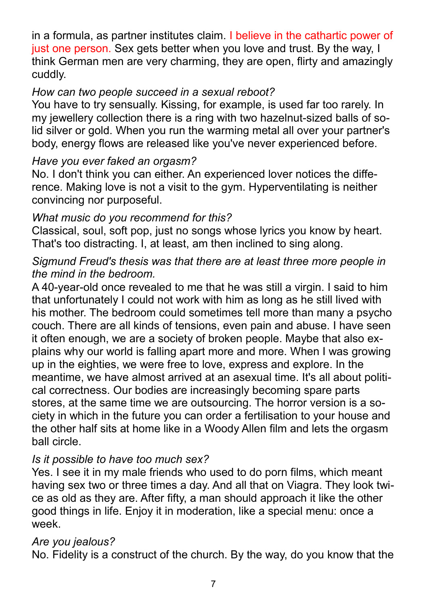in a formula, as partner institutes claim. I believe in the cathartic power of just one person. Sex gets better when you love and trust. By the way, I think German men are very charming, they are open, flirty and amazingly cuddly.

## *How can two people succeed in a sexual reboot?*

You have to try sensually. Kissing, for example, is used far too rarely. In my jewellery collection there is a ring with two hazelnut-sized balls of solid silver or gold. When you run the warming metal all over your partner's body, energy flows are released like you've never experienced before.

## *Have you ever faked an orgasm?*

No. I don't think you can either. An experienced lover notices the difference. Making love is not a visit to the gym. Hyperventilating is neither convincing nor purposeful.

## *What music do you recommend for this?*

Classical, soul, soft pop, just no songs whose lyrics you know by heart. That's too distracting. I, at least, am then inclined to sing along.

## *Sigmund Freud's thesis was that there are at least three more people in the mind in the bedroom.*

A 40-year-old once revealed to me that he was still a virgin. I said to him that unfortunately I could not work with him as long as he still lived with his mother. The bedroom could sometimes tell more than many a psycho couch. There are all kinds of tensions, even pain and abuse. I have seen it often enough, we are a society of broken people. Maybe that also explains why our world is falling apart more and more. When I was growing up in the eighties, we were free to love, express and explore. In the meantime, we have almost arrived at an asexual time. It's all about political correctness. Our bodies are increasingly becoming spare parts stores, at the same time we are outsourcing. The horror version is a society in which in the future you can order a fertilisation to your house and the other half sits at home like in a Woody Allen film and lets the orgasm ball circle.

# *Is it possible to have too much sex?*

Yes. I see it in my male friends who used to do porn films, which meant having sex two or three times a day. And all that on Viagra. They look twice as old as they are. After fifty, a man should approach it like the other good things in life. Enjoy it in moderation, like a special menu: once a week.

## *Are you jealous?*

No. Fidelity is a construct of the church. By the way, do you know that the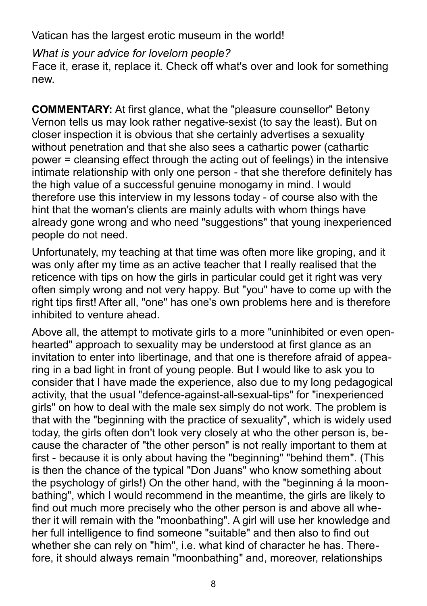Vatican has the largest erotic museum in the world!

*What is your advice for lovelorn people?* Face it, erase it, replace it. Check off what's over and look for something new.

**COMMENTARY:** At first glance, what the "pleasure counsellor" Betony Vernon tells us may look rather negative-sexist (to say the least). But on closer inspection it is obvious that she certainly advertises a sexuality without penetration and that she also sees a cathartic power (cathartic power = cleansing effect through the acting out of feelings) in the intensive intimate relationship with only one person - that she therefore definitely has the high value of a successful genuine monogamy in mind. I would therefore use this interview in my lessons today - of course also with the hint that the woman's clients are mainly adults with whom things have already gone wrong and who need "suggestions" that young inexperienced people do not need.

Unfortunately, my teaching at that time was often more like groping, and it was only after my time as an active teacher that I really realised that the reticence with tips on how the girls in particular could get it right was very often simply wrong and not very happy. But "you" have to come up with the right tips first! After all, "one" has one's own problems here and is therefore inhibited to venture ahead.

Above all, the attempt to motivate girls to a more "uninhibited or even openhearted" approach to sexuality may be understood at first glance as an invitation to enter into libertinage, and that one is therefore afraid of appearing in a bad light in front of young people. But I would like to ask you to consider that I have made the experience, also due to my long pedagogical activity, that the usual "defence-against-all-sexual-tips" for "inexperienced girls" on how to deal with the male sex simply do not work. The problem is that with the "beginning with the practice of sexuality", which is widely used today, the girls often don't look very closely at who the other person is, because the character of "the other person" is not really important to them at first - because it is only about having the "beginning" "behind them". (This is then the chance of the typical "Don Juans" who know something about the psychology of girls!) On the other hand, with the "beginning á la moonbathing", which I would recommend in the meantime, the girls are likely to find out much more precisely who the other person is and above all whether it will remain with the "moonbathing". A girl will use her knowledge and her full intelligence to find someone "suitable" and then also to find out whether she can rely on "him", i.e. what kind of character he has. Therefore, it should always remain "moonbathing" and, moreover, relationships